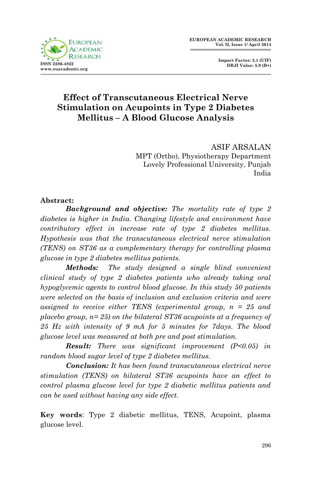

 **Impact Factor: 3.1 (UIF) DRJI Value: 5.9 (B+)**

# **Effect of Transcutaneous Electrical Nerve Stimulation on Acupoints in Type 2 Diabetes Mellitus – A Blood Glucose Analysis**

ASIF ARSALAN MPT (Ortho), Physiotherapy Department Lovely Professional University, Punjab India

#### **Abstract:**

*Background and objective: The mortality rate of type 2 diabetes is higher in India. Changing lifestyle and environment have contributory effect in increase rate of type 2 diabetes mellitus. Hypothesis was that the transcutaneous electrical nerve stimulation (TENS) on ST36 as a complementary therapy for controlling plasma glucose in type 2 diabetes mellitus patients.* 

*Methods: The study designed a single blind convenient clinical study of type 2 diabetes patients who already taking oral hypoglycemic agents to control blood glucose. In this study 50 patients were selected on the basis of inclusion and exclusion criteria and were assigned to receive either TENS (experimental group, n = 25 and placebo group, n= 25) on the bilateral ST36 acupoints at a frequency of 25 Hz with intensity of 9 mA for 5 minutes for 7days. The blood glucose level was measured at both pre and post stimulation.* 

*Result: There was significant improvement (P<0.05) in random blood sugar level of type 2 diabetes mellitus.*

*Conclusion: It has been found transcutaneous electrical nerve stimulation (TENS) on bilateral ST36 acupoints have an effect to control plasma glucose level for type 2 diabetic mellitus patients and can be used without having any side effect.* 

**Key words**: Type 2 diabetic mellitus, TENS, Acupoint, plasma glucose level.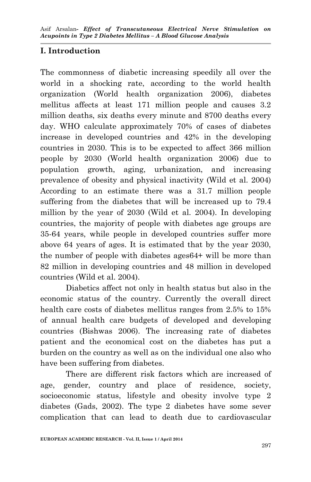# **I. Introduction**

The commonness of diabetic increasing speedily all over the world in a shocking rate, according to the world health organization (World health organization 2006), diabetes mellitus affects at least 171 million people and causes 3.2 million deaths, six deaths every minute and 8700 deaths every day. WHO calculate approximately 70% of cases of diabetes increase in developed countries and 42% in the developing countries in 2030. This is to be expected to affect 366 million people by 2030 (World health organization 2006) due to population growth, aging, urbanization, and increasing prevalence of obesity and physical inactivity (Wild et al. 2004) According to an estimate there was a 31.7 million people suffering from the diabetes that will be increased up to 79.4 million by the year of 2030 (Wild et al. 2004). In developing countries, the majority of people with diabetes age groups are 35-64 years, while people in developed countries suffer more above 64 years of ages. It is estimated that by the year 2030, the number of people with diabetes ages64+ will be more than 82 million in developing countries and 48 million in developed countries (Wild et al. 2004).

Diabetics affect not only in health status but also in the economic status of the country. Currently the overall direct health care costs of diabetes mellitus ranges from 2.5% to 15% of annual health care budgets of developed and developing countries (Bishwas 2006). The increasing rate of diabetes patient and the economical cost on the diabetes has put a burden on the country as well as on the individual one also who have been suffering from diabetes.

There are different risk factors which are increased of age, gender, country and place of residence, society, socioeconomic status, lifestyle and obesity involve type 2 diabetes (Gads, 2002). The type 2 diabetes have some sever complication that can lead to death due to cardiovascular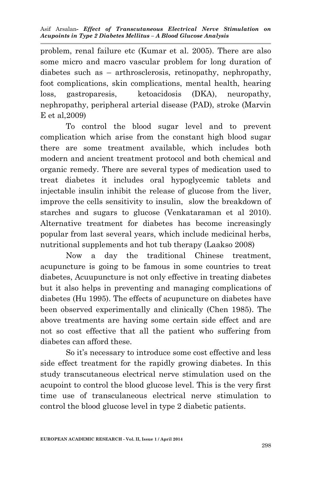problem, renal failure etc (Kumar et al. 2005). There are also some micro and macro vascular problem for long duration of diabetes such as – arthrosclerosis, retinopathy, nephropathy, foot complications, skin complications, mental health, hearing loss, gastroparesis, ketoacidosis (DKA), neuropathy, nephropathy, peripheral arterial disease (PAD), stroke (Marvin E et al,2009)

To control the blood sugar level and to prevent complication which arise from the constant high blood sugar there are some treatment available, which includes both modern and ancient treatment protocol and both chemical and organic remedy. There are several types of medication used to treat diabetes it includes oral hypoglycemic tablets and injectable insulin inhibit the release of glucose from the liver, improve the cells sensitivity to insulin, slow the breakdown of starches and sugars to glucose (Venkataraman et al 2010). Alternative treatment for diabetes has become increasingly popular from last several years, which include medicinal herbs, nutritional supplements and hot tub therapy (Laakso 2008)

Now a day the traditional Chinese treatment, acupuncture is going to be famous in some countries to treat diabetes, Acuupuncture is not only effective in treating diabetes but it also helps in preventing and managing complications of diabetes (Hu 1995). The effects of acupuncture on diabetes have been observed experimentally and clinically (Chen 1985). The above treatments are having some certain side effect and are not so cost effective that all the patient who suffering from diabetes can afford these.

So it's necessary to introduce some cost effective and less side effect treatment for the rapidly growing diabetes. In this study transcutaneous electrical nerve stimulation used on the acupoint to control the blood glucose level. This is the very first time use of transculaneous electrical nerve stimulation to control the blood glucose level in type 2 diabetic patients.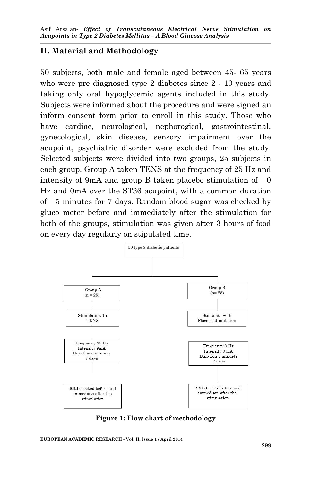#### **II. Material and Methodology**

50 subjects, both male and female aged between 45- 65 years who were pre diagnosed type 2 diabetes since 2 - 10 years and taking only oral hypoglycemic agents included in this study. Subjects were informed about the procedure and were signed an inform consent form prior to enroll in this study. Those who have cardiac, neurological, nephorogical, gastrointestinal, gynecological, skin disease, sensory impairment over the acupoint, psychiatric disorder were excluded from the study. Selected subjects were divided into two groups, 25 subjects in each group. Group A taken TENS at the frequency of 25 Hz and intensity of 9mA and group B taken placebo stimulation of 0 Hz and 0mA over the ST36 acupoint, with a common duration of 5 minutes for 7 days. Random blood sugar was checked by gluco meter before and immediately after the stimulation for both of the groups, stimulation was given after 3 hours of food on every day regularly on stipulated time.



**Figure 1: Flow chart of methodology**

**EUROPEAN ACADEMIC RESEARCH - Vol. II, Issue 1 / April 2014**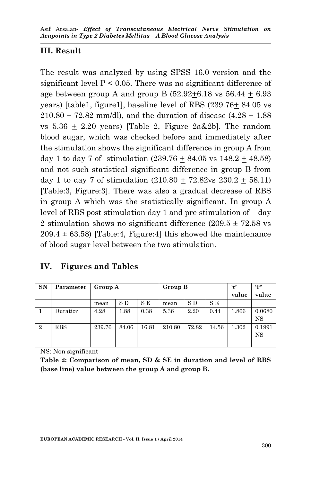# **III. Result**

The result was analyzed by using SPSS 16.0 version and the significant level  $P < 0.05$ . There was no significant difference of age between group A and group B  $(52.92+6.18 \text{ vs } 56.44 + 6.93)$ years) [table1, figure1], baseline level of RBS (239.76+ 84.05 vs  $210.80 + 72.82$  mm/dl), and the duration of disease  $(4.28 + 1.88)$ vs  $5.36 \pm 2.20$  years) [Table 2, Figure 2a&2b]. The random blood sugar, which was checked before and immediately after the stimulation shows the significant difference in group A from day 1 to day 7 of stimulation  $(239.76 + 84.05 \text{ vs } 148.2 + 48.58)$ and not such statistical significant difference in group B from day 1 to day 7 of stimulation  $(210.80 + 72.82 \text{vs } 230.2 + 58.11)$ [Table:3, Figure:3]. There was also a gradual decrease of RBS in group A which was the statistically significant. In group A level of RBS post stimulation day 1 and pre stimulation of day 2 stimulation shows no significant difference  $(209.5 \pm 72.58 \text{ vs } 10^{-10})$  $209.4 \pm 63.58$ ) [Table:4, Figure:4] this showed the maintenance of blood sugar level between the two stimulation.

#### **IV. Figures and Tables**

| <b>SN</b> | Parameter  | Group A |       |       | Group B |       |       | $\mathbf{t}$ | $\cdot$ P           |
|-----------|------------|---------|-------|-------|---------|-------|-------|--------------|---------------------|
|           |            |         |       |       |         |       |       | value        | value               |
|           |            | mean    | S D   | S E   | mean    | S D   | S E   |              |                     |
|           | Duration   | 4.28    | 1.88  | 0.38  | 5.36    | 2.20  | 0.44  | 1.866        | 0.0680<br><b>NS</b> |
| 2         | <b>RBS</b> | 239.76  | 84.06 | 16.81 | 210.80  | 72.82 | 14.56 | 1.302        | 0.1991<br><b>NS</b> |

NS: Non significant

**Table 2: Comparison of mean, SD & SE in duration and level of RBS (base line) value between the group A and group B.**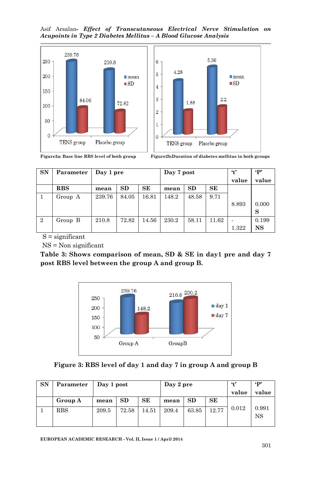Asif Arsalan*- Effect of Transcutaneous Electrical Nerve Stimulation on Acupoints in Type 2 Diabetes Mellitus – A Blood Glucose Analysis*





**Figure2a: Base line RBS level of both group Figure2b:Duration of diabetes mellitus in both groups**

| <b>SN</b>      | Parameter    | Day 1 pre |       |           | Day 7 post |       |           | $\ddot{}$ | $\cdot$ P |
|----------------|--------------|-----------|-------|-----------|------------|-------|-----------|-----------|-----------|
|                |              |           |       |           |            |       |           | value     | value     |
|                | $_{\rm RBS}$ | mean      | SD    | <b>SE</b> | mean       | SD    | <b>SE</b> |           |           |
|                | Group A      | 239.76    | 84.05 | 16.81     | 148.2      | 48.58 | 9.71      |           |           |
|                |              |           |       |           |            |       |           | 8.893     | 0.000     |
|                |              |           |       |           |            |       |           |           | S         |
| $\overline{2}$ | Group B      | 210.8     | 72.82 | 14.56     | 230.2      | 58.11 | 11.62     |           | 0.199     |
|                |              |           |       |           |            |       |           | 1.322     | <b>NS</b> |

 $S =$  significant

NS = Non significant

**Table 3: Shows comparison of mean, SD & SE in day1 pre and day 7 post RBS level between the group A and group B.**



|  |  |  |  | Figure 3: RBS level of day 1 and day 7 in group A and group B |
|--|--|--|--|---------------------------------------------------------------|
|--|--|--|--|---------------------------------------------------------------|

| SN | Parameter | Day 1 post |       |       | Day 2 pre |           |       | $\cdot$ t' | $\epsilon_{\mathbf{p}}$ |
|----|-----------|------------|-------|-------|-----------|-----------|-------|------------|-------------------------|
|    |           |            |       |       |           |           |       | value      | value                   |
|    | Group A   | mean       | SD    | SЕ    | mean      | <b>SD</b> | SЕ    |            |                         |
|    | RBS       | 209.5      | 72.58 | 14.51 | 209.4     | 63.85     | 12.77 | 0.012      | 0.991<br><b>NS</b>      |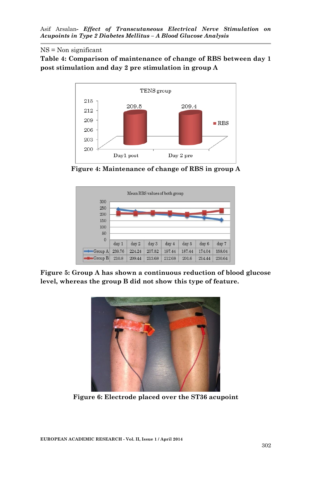#### NS = Non significant

**Table 4: Comparison of maintenance of change of RBS between day 1 post stimulation and day 2 pre stimulation in group A**



**Figure 4: Maintenance of change of RBS in group A**



**Figure 5: Group A has shown a continuous reduction of blood glucose level, whereas the group B did not show this type of feature.**



**Figure 6: Electrode placed over the ST36 acupoint**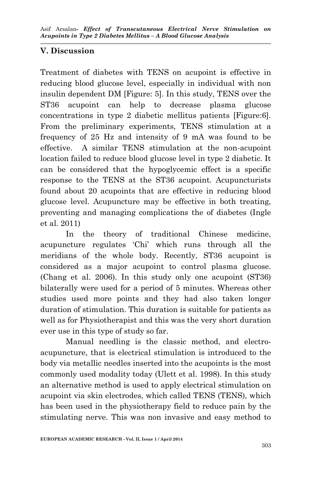# **V. Discussion**

Treatment of diabetes with TENS on acupoint is effective in reducing blood glucose level, especially in individual with non insulin dependent DM [Figure: 5]. In this study, TENS over the ST36 acupoint can help to decrease plasma glucose concentrations in type 2 diabetic mellitus patients [Figure:6]. From the preliminary experiments, TENS stimulation at a frequency of 25 Hz and intensity of 9 mA was found to be effective. A similar TENS stimulation at the non-acupoint location failed to reduce blood glucose level in type 2 diabetic. It can be considered that the hypoglycemic effect is a specific response to the TENS at the ST36 acupoint. Acupuncturists found about 20 acupoints that are effective in reducing blood glucose level. Acupuncture may be effective in both treating, preventing and managing complications the of diabetes (Ingle et al. 2011)

In the theory of traditional Chinese medicine, acupuncture regulates 'Chi' which runs through all the meridians of the whole body. Recently, ST36 acupoint is considered as a major acupoint to control plasma glucose. (Chang et al. 2006). In this study only one acupoint (ST36) bilaterally were used for a period of 5 minutes. Whereas other studies used more points and they had also taken longer duration of stimulation. This duration is suitable for patients as well as for Physiotherapist and this was the very short duration ever use in this type of study so far.

Manual needling is the classic method, and electroacupuncture, that is electrical stimulation is introduced to the body via metallic needles inserted into the acupoints is the most commonly used modality today (Ulett et al. 1998). In this study an alternative method is used to apply electrical stimulation on acupoint via skin electrodes, which called TENS (TENS), which has been used in the physiotherapy field to reduce pain by the stimulating nerve. This was non invasive and easy method to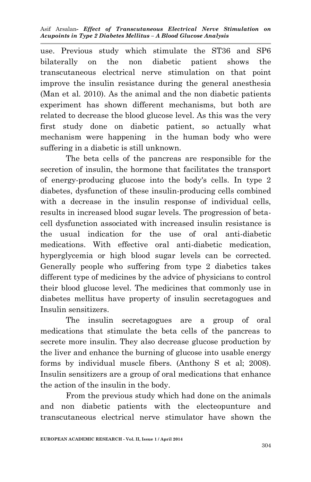use. Previous study which stimulate the ST36 and SP6 bilaterally on the non diabetic patient shows the transcutaneous electrical nerve stimulation on that point improve the insulin resistance during the general anesthesia (Man et al. 2010). As the animal and the non diabetic patients experiment has shown different mechanisms, but both are related to decrease the blood glucose level. As this was the very first study done on diabetic patient, so actually what mechanism were happening in the human body who were suffering in a diabetic is still unknown.

The beta cells of the pancreas are responsible for the secretion of insulin, the hormone that facilitates the transport of energy-producing glucose into the body's cells. In type 2 diabetes, dysfunction of these insulin-producing cells combined with a decrease in the insulin response of individual cells, results in increased blood sugar levels. The progression of betacell dysfunction associated with increased insulin resistance is the usual indication for the use of oral anti-diabetic medications. With effective oral anti-diabetic medication, hyperglycemia or high blood sugar levels can be corrected. Generally people who suffering from type 2 diabetics takes different type of medicines by the advice of physicians to control their blood glucose level. The medicines that commonly use in diabetes mellitus have property of insulin secretagogues and Insulin sensitizers.

The insulin secretagogues are a group of oral medications that stimulate the beta cells of the pancreas to secrete more insulin. They also decrease glucose production by the liver and enhance the burning of glucose into usable energy forms by individual muscle fibers. (Anthony S et al; 2008). Insulin sensitizers are a group of oral medications that enhance the action of the insulin in the body.

From the previous study which had done on the animals and non diabetic patients with the electeopunture and transcutaneous electrical nerve stimulator have shown the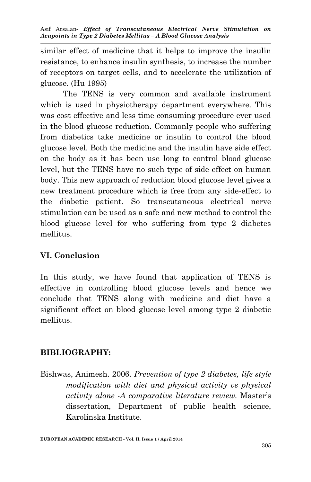similar effect of medicine that it helps to improve the insulin resistance, to enhance insulin synthesis, to increase the number of receptors on target cells, and to accelerate the utilization of glucose. (Hu 1995)

The TENS is very common and available instrument which is used in physiotherapy department everywhere. This was cost effective and less time consuming procedure ever used in the blood glucose reduction. Commonly people who suffering from diabetics take medicine or insulin to control the blood glucose level. Both the medicine and the insulin have side effect on the body as it has been use long to control blood glucose level, but the TENS have no such type of side effect on human body. This new approach of reduction blood glucose level gives a new treatment procedure which is free from any side-effect to the diabetic patient. So transcutaneous electrical nerve stimulation can be used as a safe and new method to control the blood glucose level for who suffering from type 2 diabetes mellitus.

#### **VI. Conclusion**

In this study, we have found that application of TENS is effective in controlling blood glucose levels and hence we conclude that TENS along with medicine and diet have a significant effect on blood glucose level among type 2 diabetic mellitus.

#### **BIBLIOGRAPHY:**

Bishwas, Animesh. 2006. *Prevention of type 2 diabetes, life style modification with diet and physical activity vs physical activity alone -A comparative literature review.* Master's dissertation, Department of public health science, Karolinska Institute.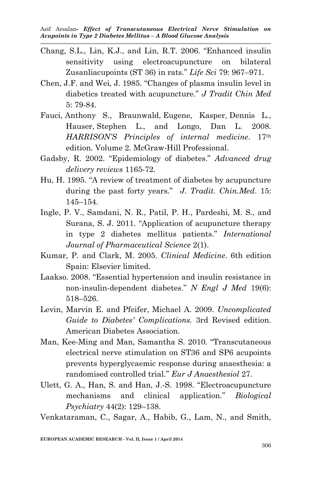- Chang, S.L., Lin, K.J., and Lin, R.T. 2006. "Enhanced insulin sensitivity using electroacupuncture on bilateral Zusanliacupoints (ST 36) in rats." *Life Sci* 79: 967–971.
- Chen, J.F. and Wei, J. 1985. "Changes of plasma insulin level in diabetics treated with acupuncture." *J Tradit Chin Med* 5: 79-84.
- Fauci, Anthony S., Braunwald, Eugene, Kasper, Dennis L., Hauser, Stephen L., and Longo, Dan L. 2008. *HARRISON'S Principles of internal medicine*. 17th edition. Volume 2. McGraw-Hill Professional.
- Gadsby, R. 2002. "Epidemiology of diabetes." *Advanced drug delivery reviews* 1165-72.
- Hu, H. 1995. "A review of treatment of diabetes by acupuncture during the past forty years." *J. Tradit. Chin.Med*. 15: 145–154.
- Ingle, P. V., Samdani, N. R., Patil, P. H., Pardeshi, M. S., and Surana, S. J. 2011. "Application of acupuncture therapy in type 2 diabetes mellitus patients." *International Journal of Pharmaceutical Science* 2(1).
- Kumar, P. and Clark, M. 2005. *Clinical Medicine*. 6th edition Spain: Elsevier limited.
- Laakso. 2008. "Essential hypertension and insulin resistance in non-insulin-dependent diabetes." *N Engl J Med* 19(6): 518–526.
- Levin, Marvin E. and Pfeifer, Michael A. 2009. *Uncomplicated Guide to Diabetes' Complications.* 3rd Revised edition. American Diabetes Association.
- Man, Kee-Ming and Man, Samantha S. 2010. "Transcutaneous electrical nerve stimulation on ST36 and SP6 acupoints prevents hyperglycaemic response during anaesthesia: a randomised controlled trial." *Eur J Anaesthesiol* 27.
- Ulett, G. A., Han, S. and Han, J.-S. 1998. "Electroacupuncture mechanisms and clinical application." *Biological Psychiatry* 44(2): 129–138.

Venkataraman, C., Sagar, A., Habib, G., Lam, N., and Smith,